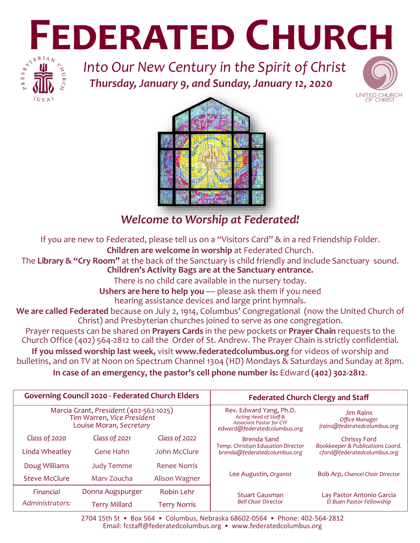# **FEDERATED CHURCH**<br>**FEDERATED CHURCH**<br>**EDERATED CHURCH**<br>**EDERATED CHURCH**



*Into Our New Century in the Spirit of Christ Thursday, January 9, and Sunday, January 12, 2020*





# *Welcome to Worship at Federated!*

If you are new to Federated, please tell us on a "Visitors Card" & in a red Friendship Folder. **Children are welcome in worship** at Federated Church.

The **Library & "Cry Room"** at the back of the Sanctuary is child friendly and include Sanctuary sound. **Children's Activity Bags are at the Sanctuary entrance.** 

There is no child care available in the nursery today.

**Ushers are here to help you** — please ask them if you need hearing assistance devices and large print hymnals.

**We are called Federated** because on July 2, 1914, Columbus' Congregational (now the United Church of Christ) and Presbyterian churches joined to serve as one congregation.

Prayer requests can be shared on **Prayers Cards** in the pew pockets or **Prayer Chain** requests to the Church Office (402) 564-2812 to call the Order of St. Andrew. The Prayer Chain is strictly confidential.

**If you missed worship last week,** visit **www.federatedcolumbus.org** for videos of worship and bulletins, and on TV at Noon on Spectrum Channel 1304 (HD) Mondays & Saturdays and Sunday at 8pm.

**In case of an emergency, the pastor's cell phone number is:** Edward **(402) 302-2812**.

| <b>Governing Council 2020 - Federated Church Elders</b>                                         |                      |                      | <b>Federated Church Clergy and Staff</b>                                                                             |                                                                    |  |
|-------------------------------------------------------------------------------------------------|----------------------|----------------------|----------------------------------------------------------------------------------------------------------------------|--------------------------------------------------------------------|--|
| Marcia Grant, President (402-562-1025)<br>Tim Warren, Vice President<br>Louise Moran, Secretary |                      |                      | Rev. Edward Yang, Ph.D.<br>Acting Head of Staff &<br><b>Associate Pastor for CYF</b><br>edward@federatedcolumbus.org | <b>Jim Rains</b><br>Office Manager<br>jrains@federatedcolumbus.org |  |
| Class of 2020                                                                                   | Class of 2021        | <b>Class of 2022</b> | <b>Brenda Sand</b>                                                                                                   | Chrissy Ford                                                       |  |
| Linda Wheatley                                                                                  | Gene Hahn            | John McClure         | Temp. Christian Education Director<br>brenda@federatedcolumbus.org                                                   | Bookkeeper & Publications Coord.<br>cford@federatedcolumbus.org    |  |
| Doug Williams                                                                                   | <b>Judy Temme</b>    | <b>Renee Norris</b>  |                                                                                                                      |                                                                    |  |
| <b>Steve McClure</b>                                                                            | Mary Zoucha          | Alison Wagner        | Lee Augustin, Organist                                                                                               | Bob Arp, Chancel Choir Director                                    |  |
| Financial                                                                                       | Donna Augspurger     | <b>Robin Lehr</b>    | <b>Stuart Gausman</b>                                                                                                | Lay Pastor Antonio Garcia                                          |  |
| Administrators:                                                                                 | <b>Terry Millard</b> | <b>Terry Norris</b>  | <b>Bell Choir Director</b>                                                                                           | El Buen Pastor Fellowship                                          |  |

2704 15th St • Box 564 • Columbus, Nebraska 68602-0564 • Phone: 402-564-2812 Email: fcstaff@federatedcolumbus.org • www.federatedcolumbus.org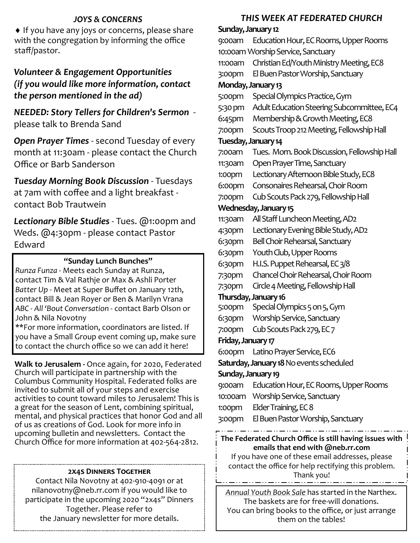### *JOYS & CONCERNS*

 $\bullet$  If you have any joys or concerns, please share with the congregation by informing the office staff/pastor.

### *Volunteer & Engagement Opportunities (if you would like more information, contact the person mentioned in the ad)*

*NEEDED: Story Tellers for Children's Sermon*  please talk to Brenda Sand

*Open Prayer Times* - second Tuesday of every month at 11:30am - please contact the Church Office or Barb Sanderson

*Tuesday Morning Bo0k Discussion* - Tuesdays at 7am with coffee and a light breakfast contact Bob Trautwein

*Lectionary Bible Studies* - Tues. @1:00pm and Weds. @4:30pm - please contact Pastor Edward

### **"Sunday Lunch Bunches"**

*Runza Funza* - Meets each Sunday at Runza, contact Tim & Val Rathje or Max & Ashli Porter *Batter Up* - Meet at Super Buffet on January 12th, contact Bill & Jean Royer or Ben & Marilyn Vrana *ABC - All 'Bout Conversation* - contact Barb Olson or John & Nila Novotny

\*\*For more information, coordinators are listed. If you have a Small Group event coming up, make sure to contact the church office so we can add it here!

**Walk to Jerusalem -** Once again, for 2020, Federated Church will participate in partnership with the Columbus Community Hospital. Federated folks are invited to submit all of your steps and exercise activities to count toward miles to Jerusalem! This is a great for the season of Lent, combining spiritual, mental, and physical practices that honor God and all of us as creations of God. Look for more info in upcoming bulletin and newsletters. Contact the Church Office for more information at 402-564-2812.

### **2x4s Dinners Together**

Contact Nila Novotny at 402-910-4091 or at nilanovotny@neb.rr.com if you would like to participate in the upcoming 2020 "2x4s" Dinners Together. Please refer to the January newsletter for more details.

### *THIS WEEK AT FEDERATED CHURCH*

**Sunday, January 12** 9:00am Education Hour, EC Rooms, Upper Rooms 10:00am Worship Service, Sanctuary 11:00am Christian Ed/Youth Ministry Meeting, EC8 3:00pm El Buen Pastor Worship, Sanctuary **Monday, January 13** 5:00pm Special Olympics Practice, Gym 5:30 pm Adult Education Steering Subcommittee, EC4 6:45pm Membership & Growth Meeting, EC8 7:00pm Scouts Troop 212 Meeting, Fellowship Hall **Tuesday, January 14** 7:00am Tues. Morn. Book Discussion, Fellowship Hall 11:30am Open Prayer Time, Sanctuary 1:00pm Lectionary Afternoon Bible Study, EC8 6:00pm Consonaires Rehearsal, Choir Room 7:00pm Cub Scouts Pack 279, Fellowship Hall **Wednesday, January 15** 11:30am All Staff Luncheon Meeting, AD2 4:30pm Lectionary Evening Bible Study, AD2 6:30pm Bell Choir Rehearsal, Sanctuary 6:30pm Youth Club, Upper Rooms 6:30pm H.I.S. Puppet Rehearsal, EC 3/8 7:30pm Chancel Choir Rehearsal, Choir Room 7:30pm Circle 4 Meeting, Fellowship Hall **Thursday, January 16** 5:00pm Special Olympics 5 on 5, Gym 6:30pm Worship Service, Sanctuary 7:00pm Cub Scouts Pack 279, EC 7 **Friday, January 17** 6:00pm Latino Prayer Service, EC6 **Saturday, January 18** No events scheduled **Sunday, January 19** 9:00am Education Hour, EC Rooms, Upper Rooms 10:00am Worship Service, Sanctuary 1:00pm Elder Training, EC 8 3:00pm El Buen Pastor Worship, Sanctuary **The Federated Church Office is still having issues with emails that end with @neb.rr.com**  If you have one of these email addresses, please

contact the office for help rectifying this problem. Thank you!

*Annual Youth Book Sale* has started in the Narthex. The baskets are for free-will donations. You can bring books to the office, or just arrange them on the tables!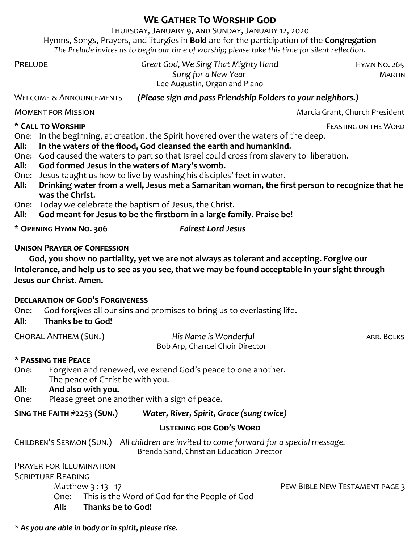## **We Gather To Worship God**

Thursday, January 9, and Sunday, January 12, 2020 Hymns, Songs, Prayers, and liturgies in **Bold** are for the participation of the **Congregation** *The Prelude invites us to begin our time of worship; please take this time for silent reflection.*

PRELUDE **Great God, We Sing That Mighty Hand HYMN NO. 265 Song for a New Year <b>MARTIN** Song for a New Year **MARTIN** Lee Augustin, Organ and Piano

### Welcome & Announcements *(Please sign and pass Friendship Folders to your neighbors.)*

Moment for MissionMarcia Grant, Church President

**\* Call to Worship** Feasting on the Word

One: In the beginning, at creation, the Spirit hovered over the waters of the deep.

- **All: In the waters of the flood, God cleansed the earth and humankind.**
- One: God caused the waters to part so that Israel could cross from slavery to liberation.
- **All: God formed Jesus in the waters of Mary's womb.**
- One: Jesus taught us how to live by washing his disciples' feet in water.
- **All: Drinking water from a well, Jesus met a Samaritan woman, the first person to recognize that he was the Christ.**
- One: Today we celebrate the baptism of Jesus, the Christ.
- **All: God meant for Jesus to be the firstborn in a large family. Praise be!**

| * OPENING HYMN NO. 306 | <b>Fairest Lord Jesus</b> |
|------------------------|---------------------------|
|                        |                           |

### **Unison Prayer of Confession**

**God, you show no partiality, yet we are not always as tolerant and accepting. Forgive our intolerance, and help us to see as you see, that we may be found acceptable in your sight through Jesus our Christ. Amen.**

### **Declaration of God's Forgiveness**

One: God forgives all our sins and promises to bring us to everlasting life.

### **All: Thanks be to God!**

| CHORAL ANTHEM (SUN.) | His Name is Wonderful           | ARR. BOLKS |
|----------------------|---------------------------------|------------|
|                      | Bob Arp, Chancel Choir Director |            |

### **\* Passing the Peace**

One: Forgiven and renewed, we extend God's peace to one another. The peace of Christ be with you.

### **All: And also with you.**

One: Please greet one another with a sign of peace.

**Sing the Faith #2253 (Sun.)** *Water, River, Spirit, Grace (sung twice)*

### **Listening for God's Word**

Children's Sermon (Sun.) *All children are invited to come forward for a special message.* Brenda Sand, Christian Education Director

Prayer for Illumination Scripture Reading Matthew 3:13 - 17 PEW BIBLE NEW TESTAMENT PAGE 3 One: This is the Word of God for the People of God<br>**All:** Thanks be to God! **All: Thanks be to God!**

*\* As you are able in body or in spirit, please rise.*